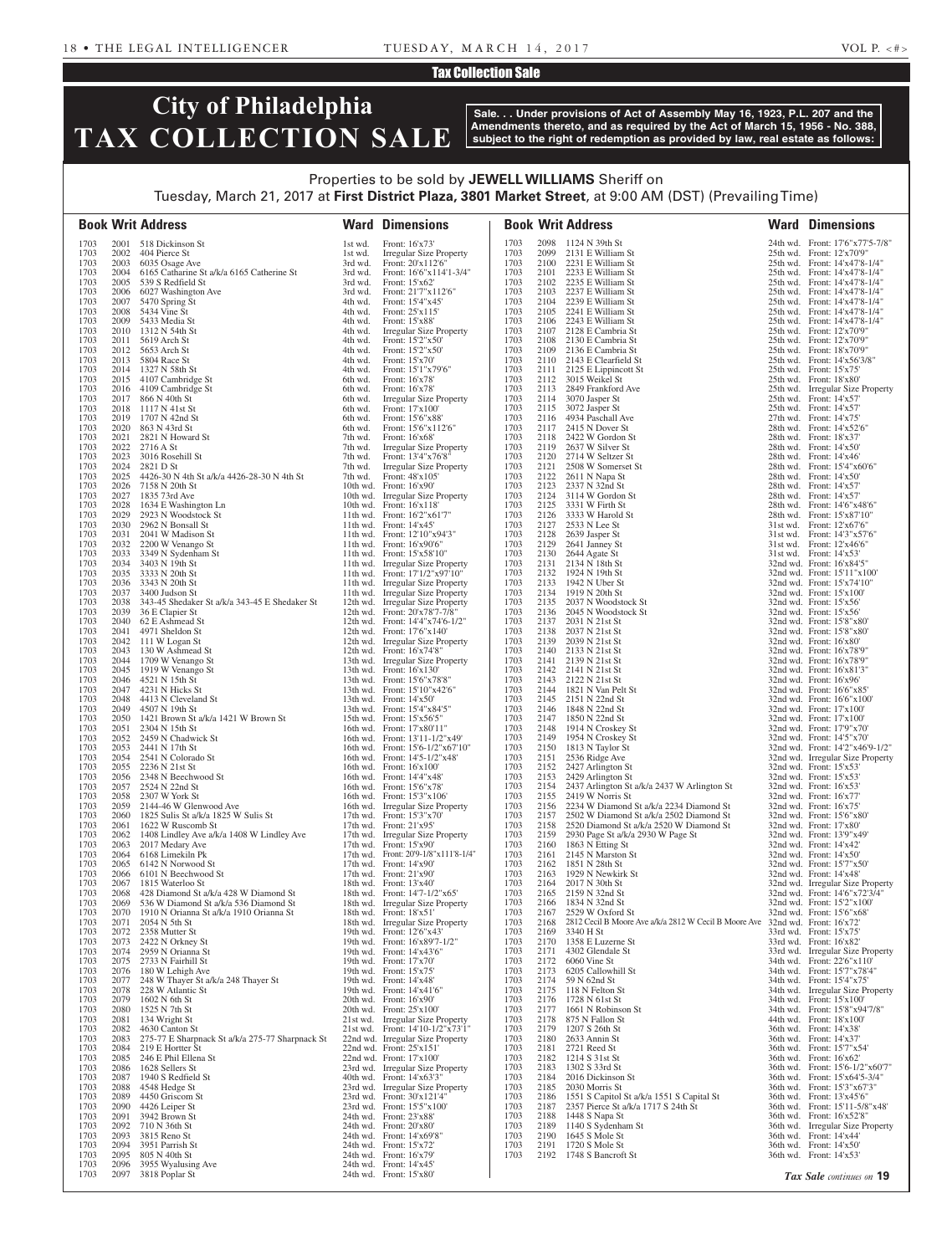### Tax Collection Sale

# **City of Philadelphia TAX COLLECTION SALE**

**Sale. . . Under provisions of Act of Assembly May 16, 1923, P.L. 207 and the Amendments thereto, and as required by the Act of March 15, 1956 - No. 388, subject to the right of redemption as provided by law, real estate as follows:**

## Properties to be sold by **JEWELL WILLIAMS** Sheriff on Tuesday, March 21, 2017 at **First District Plaza, 3801 Market Street**, at 9:00 AM (DST) (Prevailing Time)

|              |              | <b>Book Writ Address</b>                                                       |                    | <b>Ward Dimensions</b>                                               |              |              | <b>Book Writ Address</b>                                                                        | <b>Ward Dimensions</b>                                              |
|--------------|--------------|--------------------------------------------------------------------------------|--------------------|----------------------------------------------------------------------|--------------|--------------|-------------------------------------------------------------------------------------------------|---------------------------------------------------------------------|
| 1703         |              | 2001 518 Dickinson St                                                          | 1st wd.            | Front: 16'x73'                                                       | 1703         |              | 2098 1124 N 39th St                                                                             | 24th wd. Front: 17'6"x77'5-7/8"                                     |
| 1703<br>1703 | 2002         | 404 Pierce St<br>2003 6035 Osage Ave                                           | 1st wd.<br>3rd wd. | <b>Irregular Size Property</b><br>Front: 20'x112'6"                  | 1703<br>1703 |              | 2099 2131 E William St<br>2100 2231 E William St                                                | 25th wd. Front: 12'x70'9"<br>25th wd. Front: 14'x47'8-1/4"          |
| 1703         | 2004         | 6165 Catharine St a/k/a 6165 Catherine St                                      | 3rd wd.            | Front: 16'6"x114'1-3/4"                                              | 1703         |              | 2101 2233 E William St                                                                          | 25th wd. Front: 14'x47'8-1/4"                                       |
| 1703<br>1703 | 2006         | 2005 539 S Redfield St<br>6027 Washington Ave                                  | 3rd wd.<br>3rd wd. | Front: 15'x62'<br>Front: 21'7"x112'6"                                | 1703<br>1703 | 2103         | 2102 2235 E William St<br>2237 E William St                                                     | 25th wd. Front: 14'x47'8-1/4"<br>25th wd. Front: 14'x47'8-1/4"      |
| 1703         | 2007         | 5470 Spring St                                                                 | 4th wd.            | Front: 15'4"x45'                                                     | 1703         |              | 2104 2239 E William St                                                                          | 25th wd. Front: 14'x47'8-1/4"                                       |
| 1703<br>1703 | 2008<br>2009 | 5434 Vine St<br>5433 Media St                                                  | 4th wd.<br>4th wd. | Front: 25'x115'<br>Front: 15'x88'                                    | 1703<br>1703 | 2105         | 2241 E William St<br>2106 2243 E William St                                                     | 25th wd. Front: 14'x47'8-1/4"<br>25th wd. Front: 14'x47'8-1/4"      |
| 1703         |              | 2010 1312 N 54th St                                                            | 4th wd.            | <b>Irregular Size Property</b>                                       | 1703         |              | 2107 2128 E Cambria St                                                                          | 25th wd. Front: 12'x70'9"                                           |
| 1703         |              | 2011 5619 Arch St<br>2012 5653 Arch St                                         | 4th wd.            | Front: 15'2"x50'<br>Front: 15'2"x50'                                 | 1703         |              | 2108 2130 E Cambria St                                                                          | 25th wd. Front: 12'x70'9"                                           |
| 1703<br>1703 |              | 2013 5804 Race St                                                              | 4th wd.<br>4th wd. | Front: 15'x70'                                                       | 1703<br>1703 |              | 2109 2136 E Cambria St<br>2110 2143 E Clearfield St                                             | 25th wd. Front: 18'x70'9"<br>25th wd. Front: 14'x56'3/8"            |
| 1703         |              | 2014 1327 N 58th St                                                            | 4th wd.            | Front: 15'1"x79'6"                                                   | 1703         |              | 2111 2125 E Lippincott St                                                                       | 25th wd. Front: $15'x75'$                                           |
| 1703<br>1703 |              | 2015 4107 Cambridge St<br>2016 4109 Cambridge St                               | 6th wd.<br>6th wd. | Front: 16'x78'<br>Front: 16'x78'                                     | 1703<br>1703 | 2113         | 2112 3015 Weikel St<br>2849 Frankford Ave                                                       | $25th$ wd. Front: $18'x80'$<br>25th wd. Irregular Size Property     |
| 1703         |              | 2017 866 N 40th St                                                             | 6th wd.            | Irregular Size Property                                              | 1703         | 2114         | 3070 Jasper St                                                                                  | 25th wd. Front: 14'x57'                                             |
| 1703<br>1703 | 2019         | 2018 1117 N 41st St<br>1707 N 42nd St                                          | 6th wd.<br>6th wd. | Front: 17'x100'<br>Front: 15'6"x88"                                  | 1703<br>1703 | 2115<br>2116 | 3072 Jasper St<br>4934 Paschall Ave                                                             | 25th wd. Front: 14'x57'<br>27th wd. Front: 14'x75'                  |
| 1703         | 2020         | 863 N 43rd St                                                                  | 6th wd.            | Front: 15'6"x112'6"                                                  | 1703         |              | 2117 2415 N Dover St                                                                            | 28th wd. Front: 14'x52'6"                                           |
| 1703<br>1703 | 2021<br>2022 | 2821 N Howard St<br>2716 A St                                                  | 7th wd.<br>7th wd. | Front: 16'x68'<br>Irregular Size Property                            | 1703<br>1703 |              | 2118 2422 W Gordon St<br>2119 2637 W Silver St                                                  | 28th wd. Front: 18'x37'<br>28th wd. Front: $14'x50'$                |
| 1703         | 2023         | 3016 Rosehill St                                                               | 7th wd.            | Front: 13'4"x76'8"                                                   | 1703         |              | 2120 2714 W Seltzer St                                                                          | 28th wd. Front: 14'x46'                                             |
| 1703<br>1703 | 2024<br>2025 | 2821 D St<br>4426-30 N 4th St a/k/a 4426-28-30 N 4th St                        | 7th wd.<br>7th wd. | <b>Irregular Size Property</b><br>Front: 48'x105'                    | 1703<br>1703 | 2121<br>2122 | 2508 W Somerset St<br>2611 N Napa St                                                            | 28th wd. Front: 15'4"x60'6"<br>28th wd. Front: $14'x50'$            |
| 1703         | 2026         | 7158 N 20th St                                                                 |                    | 10th wd. Front: 16'x90'                                              | 1703         | 2123         | 2337 N 32nd St                                                                                  | 28th wd. Front: 14'x57'                                             |
| 1703<br>1703 | 2027<br>2028 | 1835 73rd Ave<br>1634 E Washington Ln                                          |                    | 10th wd. Irregular Size Property<br>10th wd. Front: 16'x118'         | 1703<br>1703 | 2125         | 2124 3114 W Gordon St<br>3331 W Firth St                                                        | 28th wd. Front: 14'x57'<br>28th wd. Front: 14'6"x48'6"              |
| 1703         | 2029         | 2923 N Woodstock St                                                            |                    | 11th wd. Front: 16'2"x61'7"                                          | 1703         |              | 2126 3333 W Harold St                                                                           | 28th wd. Front: 15'x87'10"                                          |
| 1703         |              | 2030 2962 N Bonsall St                                                         |                    | 11th wd. Front: $14'x45'$                                            | 1703         | 2127         | 2533 N Lee St                                                                                   | 31st wd. Front: 12'x67'6"                                           |
| 1703<br>1703 | 2031<br>2032 | 2041 W Madison St<br>2200 W Venango St                                         |                    | 11th wd. Front: $12'10''x94'3''$<br>11th wd. Front: 16'x90'6"        | 1703<br>1703 | 2128<br>2129 | 2639 Jasper St<br>2641 Janney St                                                                | 31st wd. Front: 14'3"x57'6"<br>31st wd. Front: 12'x46'6"            |
| 1703         | 2033         | 3349 N Sydenham St                                                             |                    | 11th wd. Front: $15'x58'10''$                                        | 1703         |              | 2130 2644 Agate St                                                                              | $31st$ wd. Front: $14'x53'$                                         |
| 1703<br>1703 | 2034         | 3403 N 19th St<br>2035 3333 N 20th St                                          |                    | 11th wd. Irregular Size Property<br>11th wd. Front: 17'1/2"x97'10"   | 1703<br>1703 |              | 2131 2134 N 18th St<br>2132 1924 N 19th St                                                      | 32nd wd. Front: 16'x84'5"<br>32nd wd. Front: 15'11"x100"            |
| 1703         | 2036         | 3343 N 20th St                                                                 |                    | 11th wd. Irregular Size Property                                     | 1703         |              | 2133 1942 N Uber St                                                                             | 32nd wd. Front: 15'x74'10"                                          |
| 1703<br>1703 | 2037<br>2038 | 3400 Judson St<br>343-45 Shedaker St a/k/a 343-45 E Shedaker St                |                    | 11th wd. Irregular Size Property<br>12th wd. Irregular Size Property | 1703<br>1703 | 2135         | 2134 1919 N 20th St<br>2037 N Woodstock St                                                      | 32nd wd. Front: 15'x100'<br>$32nd$ wd. Front: $15'x56'$             |
| 1703         | 2039         | 36 E Clapier St                                                                |                    | 12th wd. Front: 20'x78'7-7/8"                                        | 1703         | 2136         | 2045 N Woodstock St                                                                             | 32nd wd. Front: 15'x56'                                             |
| 1703<br>1703 | 2040<br>2041 | 62 E Ashmead St<br>4971 Sheldon St                                             |                    | 12th wd. Front: 14'4"x74'6-1/2"<br>12th wd. Front: 17'6"x140"        | 1703<br>1703 | 2137<br>2138 | 2031 N 21st St<br>2037 N 21st St                                                                | 32nd wd. Front: 15'8"x80"<br>32nd wd. Front: 15'8"x80"              |
| 1703         | 2042         | 111 W Logan St                                                                 |                    | 12th wd. Irregular Size Property                                     | 1703         |              | 2139 2039 N 21st St                                                                             | 32nd wd. Front: 16'x80'                                             |
| 1703<br>1703 | 2043<br>2044 | 130 W Ashmead St<br>1709 W Venango St                                          |                    | 12th wd. Front: 16'x74'8"<br>13th wd. Irregular Size Property        | 1703<br>1703 |              | 2140 2133 N 21st St<br>2141 2139 N 21st St                                                      | 32nd wd. Front: 16'x78'9"<br>32nd wd. Front: 16'x78'9"              |
| 1703         |              | 2045 1919 W Venango St                                                         |                    | 13th wd. Front: 16'x130'                                             | 1703         |              | 2142 2141 N 21st St                                                                             | 32nd wd. Front: 16'x81'3"                                           |
| 1703<br>1703 | 2046<br>2047 | 4521 N 15th St<br>4231 N Hicks St                                              |                    | 13th wd. Front: 15'6"x78'8"                                          | 1703<br>1703 |              | 2143 2122 N 21st St<br>2144 1821 N Van Pelt St                                                  | 32nd wd. Front: 16'x96'                                             |
| 1703         |              | 2048 4413 N Cleveland St                                                       |                    | 13th wd. Front: 15'10"x42'6"<br>13th wd. Front: $14'x50'$            | 1703         |              | 2145 2151 N 22nd St                                                                             | 32nd wd. Front: 16'6"x85"<br>32nd wd. Front: 16'6"x100"             |
| 1703<br>1703 | 2049<br>2050 | 4507 N 19th St<br>1421 Brown St a/k/a 1421 W Brown St                          |                    | 13th wd. Front: 15'4"x84'5"<br>15th wd. Front: 15'x56'5"             | 1703<br>1703 |              | 2146 1848 N 22nd St<br>2147 1850 N 22nd St                                                      | 32nd wd. Front: 17'x100'                                            |
| 1703         |              | 2051 2304 N 15th St                                                            |                    | 16th wd. Front: 17'x80'11"                                           | 1703         |              | 2148 1914 N Croskey St                                                                          | 32nd wd. Front: 17'x100'<br>32nd wd. Front: 17'9"x70"               |
| 1703         |              | 2052 2459 N Chadwick St<br>2053 2441 N 17th St                                 |                    | 16th wd. Front: 13'11-1/2"x49'                                       | 1703         |              | 2149 1954 N Croskey St                                                                          | 32nd wd. Front: 14'5"x70'                                           |
| 1703<br>1703 |              | 2054 2541 N Colorado St                                                        |                    | 16th wd. Front: 15'6-1/2"x67'10"<br>16th wd. Front: 14'5-1/2"x48"    | 1703<br>1703 |              | 2150 1813 N Taylor St<br>2151 2536 Ridge Ave                                                    | 32nd wd. Front: 14'2"x46'9-1/2"<br>32nd wd. Irregular Size Property |
| 1703         | 2055         | 2236 N 21st St                                                                 |                    | 16th wd. Front: 16'x100'                                             | 1703         |              | 2152 2427 Arlington St                                                                          | 32nd wd. Front: 15'x53'                                             |
| 1703<br>1703 | 2057         | 2056 2348 N Beechwood St<br>2524 N 22nd St                                     |                    | 16th wd. Front: 14'4"x48"<br>16th wd. Front: 15'6"x78"               | 1703<br>1703 |              | 2153 2429 Arlington St<br>2154 2437 Arlington St a/k/a 2437 W Arlington St                      | 32nd wd. Front: 15'x53'<br>32nd wd. Front: 16'x53'                  |
| 1703         |              | 2058 2307 W York St                                                            |                    | 16th wd. Front: 15'3"x106'                                           | 1703         |              | 2155 2419 W Norris St                                                                           | 32nd wd. Front: 16'x77'                                             |
| 1703<br>1703 | 2059<br>2060 | 2144-46 W Glenwood Ave<br>1825 Sulis St a/k/a 1825 W Sulis St                  |                    | 16th wd. Irregular Size Property<br>17th wd. Front: 15'3"x70"        | 1703<br>1703 | 2156<br>2157 | 2234 W Diamond St a/k/a 2234 Diamond St<br>2502 W Diamond St a/k/a 2502 Diamond St              | 32nd wd. Front: 16'x75'<br>32nd wd. Front: 15'6"x80"                |
| 1703         | 2061         | 1622 W Ruscomb St                                                              |                    | 17th wd. Front: 21'x95'                                              | 1703         | 2158         | 2520 Diamond St a/k/a 2520 W Diamond St                                                         | 32nd wd. Front: 17'x80'                                             |
| 1703<br>1703 | 2062<br>2063 | 1408 Lindley Ave a/k/a 1408 W Lindley Ave<br>2017 Medary Ave                   |                    | 17th wd. Irregular Size Property<br>17th wd. Front: $15'x90'$        | 1703<br>1703 | 2159         | 2930 Page St a/k/a 2930 W Page St<br>2160 1863 N Etting St                                      | 32nd wd. Front: 13'9"x49'<br>32nd wd. Front: 14'x42'                |
| 1703         | 2064         | 6168 Limekiln Pk                                                               |                    | 17th wd. Front: 20'9-1/8"x111'8-1/4"                                 | 1703         |              | 2161 2145 N Marston St                                                                          | 32nd wd. Front: 14'x50'                                             |
| 1703<br>1703 | 2065<br>2066 | 6142 N Norwood St<br>6101 N Beechwood St                                       |                    | 17th wd. Front: 14'x90'<br>17th wd. Front: 21'x90'                   | 1703<br>1703 |              | 2162 1851 N 28th St<br>2163 1929 N Newkirk St                                                   | 32nd wd. Front: 15'7"x50"<br>32nd wd. Front: 14'x48'                |
| 1703         | 2067         | 1815 Waterloo St                                                               |                    | 18th wd. Front: 13'x40'                                              | 1703         |              | 2164 2017 N 30th St                                                                             | 32nd wd. Irregular Size Property                                    |
| 1703<br>1703 | 2068<br>2069 | 428 Diamond St a/k/a 428 W Diamond St<br>536 W Diamond St a/k/a 536 Diamond St |                    | 18th wd. Front: 14'7-1/2"x65'<br>18th wd. Irregular Size Property    | 1703<br>1703 |              | 2165 2159 N 32nd St<br>2166 1834 N 32nd St                                                      | 32nd wd. Front: 14'6"x72'3/4"<br>32nd wd. Front: 15'2"x100"         |
| 1703         | 2070         | 1910 N Orianna St a/k/a 1910 Orianna St                                        |                    | 18th wd. Front: 18'x51'                                              | 1703         | 2167         | 2529 W Oxford St                                                                                | 32nd wd. Front: 15'6"x68"                                           |
| 1703<br>1703 |              | 2071 2054 N 5th St<br>2072 2358 Mutter St                                      |                    | 18th wd. Irregular Size Property<br>19th wd. Front: 12'6"x43"        | 1703<br>1703 | 2168         | 2812 Cecil B Moore Ave a/k/a 2812 W Cecil B Moore Ave 32nd wd. Front: 16'x72'<br>2169 3340 H St | 33rd wd. Front: 15'x75'                                             |
| 1703         | 2073         | 2422 N Orkney St                                                               |                    | 19th wd. Front: 16'x89'7-1/2"                                        | 1703         |              | 2170 1358 E Luzerne St                                                                          | 33rd wd. Front: 16'x82'                                             |
| 1703<br>1703 |              | 2074 2959 N Orianna St<br>2075 2733 N Fairhill St                              |                    | 19th wd. Front: 14'x43'6"<br>19th wd. Front: 17'x70'                 | 1703<br>1703 |              | 2171 4302 Glendale St<br>2172 6060 Vine St                                                      | 33rd wd. Irregular Size Property<br>34th wd. Front: 22'6"x110"      |
| 1703         |              | 2076 180 W Lehigh Ave                                                          |                    | 19th wd. Front: 15'x75'                                              | 1703         |              | 2173 6205 Callowhill St                                                                         | 34th wd. Front: 15'7"x78'4"                                         |
| 1703         | 2077         | 248 W Thayer St a/k/a 248 Thayer St                                            |                    | 19th wd. Front: 14'x48'                                              | 1703         |              | 2174 59 N 62nd St                                                                               | 34th wd. Front: 15'4"x75'                                           |
| 1703<br>1703 | 2078<br>2079 | 228 W Atlantic St<br>1602 N 6th St                                             |                    | 19th wd. Front: 14'x41'6"<br>20th wd. Front: $16'x90'$               | 1703<br>1703 |              | 2175 118 N Felton St<br>2176 1728 N 61st St                                                     | 34th wd. Irregular Size Property<br>34th wd. Front: 15'x100'        |
| 1703         |              | 2080 1525 N 7th St                                                             |                    | 20th wd. Front: 25'x100'                                             | 1703         |              | 2177 1661 N Robinson St                                                                         | 34th wd. Front: 15'8"x94'7/8"                                       |
| 1703<br>1703 | 2082         | 2081 134 Wright St<br>4630 Canton St                                           |                    | 21st wd. Irregular Size Property<br>21st wd. Front: 14'10-1/2"x73'1" | 1703<br>1703 |              | 2178 875 N Fallon St<br>2179 1207 S 26th St                                                     | 44th wd. Front: 18'x100'<br>36th wd. Front: 14'x38'                 |
| 1703         | 2083         | 275-77 E Sharpnack St a/k/a 275-77 Sharpnack St                                |                    | 22nd wd. Irregular Size Property                                     | 1703         |              | 2180 2633 Annin St                                                                              | 36th wd. Front: 14'x37'                                             |
| 1703<br>1703 | 2085         | 2084 219 E Hortter St<br>246 E Phil Ellena St                                  |                    | 22nd wd. Front: 25'x151'<br>22nd wd. Front: 17'x100'                 | 1703<br>1703 |              | 2181 2721 Reed St<br>2182 1214 S 31st St                                                        | 36th wd. Front: 15'7"x54'<br>36th wd. Front: 16'x62'                |
| 1703         | 2086         | 1628 Sellers St                                                                |                    | 23rd wd. Irregular Size Property                                     | 1703         |              | 2183 1302 S 33rd St                                                                             | 36th wd. Front: 15'6-1/2"x60'7"                                     |
| 1703<br>1703 | 2087<br>2088 | 1940 S Redfield St<br>4548 Hedge St                                            |                    | 40th wd. Front: 14'x63'3"<br>23rd wd. Irregular Size Property        | 1703<br>1703 | 2185         | 2184 2016 Dickinson St<br>2030 Morris St                                                        | 36th wd. Front: 15'x64'5-3/4"<br>36th wd. Front: 15'3"x67'3"        |
| 1703         | 2089         | 4450 Griscom St                                                                |                    | 23rd wd. Front: 30'x121'4"                                           | 1703         |              | 2186 1551 S Capitol St a/k/a 1551 S Capital St                                                  | 36th wd. Front: 13'x45'6"                                           |
| 1703<br>1703 | 2090<br>2091 | 4426 Leiper St<br>3942 Brown St                                                |                    | 23rd wd. Front: 15'5"x100"<br>24th wd. Front: 23'x88'                | 1703<br>1703 | 2187         | 2357 Pierce St a/k/a 1717 S 24th St<br>2188 1448 S Napa St                                      | 36th wd. Front: 15'11-5/8"x48"<br>36th wd. Front: 16'x52'8"         |
| 1703         | 2092         | 710 N 36th St                                                                  |                    | 24th wd. Front: 20'x80'                                              | 1703         |              | 2189 1140 S Sydenham St                                                                         | 36th wd. Irregular Size Property                                    |
| 1703<br>1703 | 2093<br>2094 | 3815 Reno St<br>3951 Parrish St                                                |                    | 24th wd. Front: 14'x69'8"<br>24th wd. Front: 15'x72'                 | 1703<br>1703 |              | 2190 1645 S Mole St<br>2191 1720 S Mole St                                                      | 36th wd. Front: 14'x44'<br>36th wd. Front: 14'x50'                  |
| 1703         | 2095         | 805 N 40th St                                                                  |                    | 24th wd. Front: 16'x79'                                              | 1703         |              | 2192 1748 S Bancroft St                                                                         | 36th wd. Front: 14'x53'                                             |
| 1703<br>1703 | 2096<br>2097 | 3955 Wyalusing Ave<br>3818 Poplar St                                           |                    | 24th wd. Front: 14'x45'<br>24th wd. Front: 15'x80'                   |              |              |                                                                                                 | Tax Sale continues on 19                                            |
|              |              |                                                                                |                    |                                                                      |              |              |                                                                                                 |                                                                     |